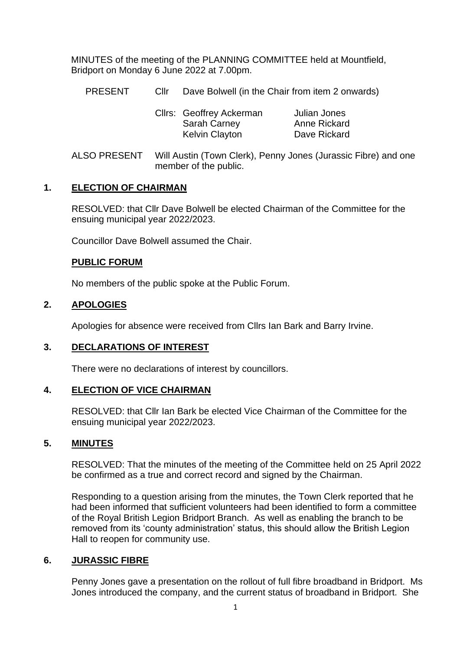MINUTES of the meeting of the PLANNING COMMITTEE held at Mountfield, Bridport on Monday 6 June 2022 at 7.00pm.

PRESENT Cllr Dave Bolwell (in the Chair from item 2 onwards)

| Cllrs: Geoffrey Ackerman | Julian Jones        |
|--------------------------|---------------------|
| Sarah Carney             | <b>Anne Rickard</b> |
| <b>Kelvin Clayton</b>    | Dave Rickard        |

ALSO PRESENT Will Austin (Town Clerk), Penny Jones (Jurassic Fibre) and one member of the public.

# **1. ELECTION OF CHAIRMAN**

RESOLVED: that Cllr Dave Bolwell be elected Chairman of the Committee for the ensuing municipal year 2022/2023.

Councillor Dave Bolwell assumed the Chair.

## **PUBLIC FORUM**

No members of the public spoke at the Public Forum.

# **2. APOLOGIES**

Apologies for absence were received from Cllrs Ian Bark and Barry Irvine.

## **3. DECLARATIONS OF INTEREST**

There were no declarations of interest by councillors.

## **4. ELECTION OF VICE CHAIRMAN**

RESOLVED: that Cllr Ian Bark be elected Vice Chairman of the Committee for the ensuing municipal year 2022/2023.

## **5. MINUTES**

RESOLVED: That the minutes of the meeting of the Committee held on 25 April 2022 be confirmed as a true and correct record and signed by the Chairman.

Responding to a question arising from the minutes, the Town Clerk reported that he had been informed that sufficient volunteers had been identified to form a committee of the Royal British Legion Bridport Branch. As well as enabling the branch to be removed from its 'county administration' status, this should allow the British Legion Hall to reopen for community use.

## **6. JURASSIC FIBRE**

Penny Jones gave a presentation on the rollout of full fibre broadband in Bridport. Ms Jones introduced the company, and the current status of broadband in Bridport. She